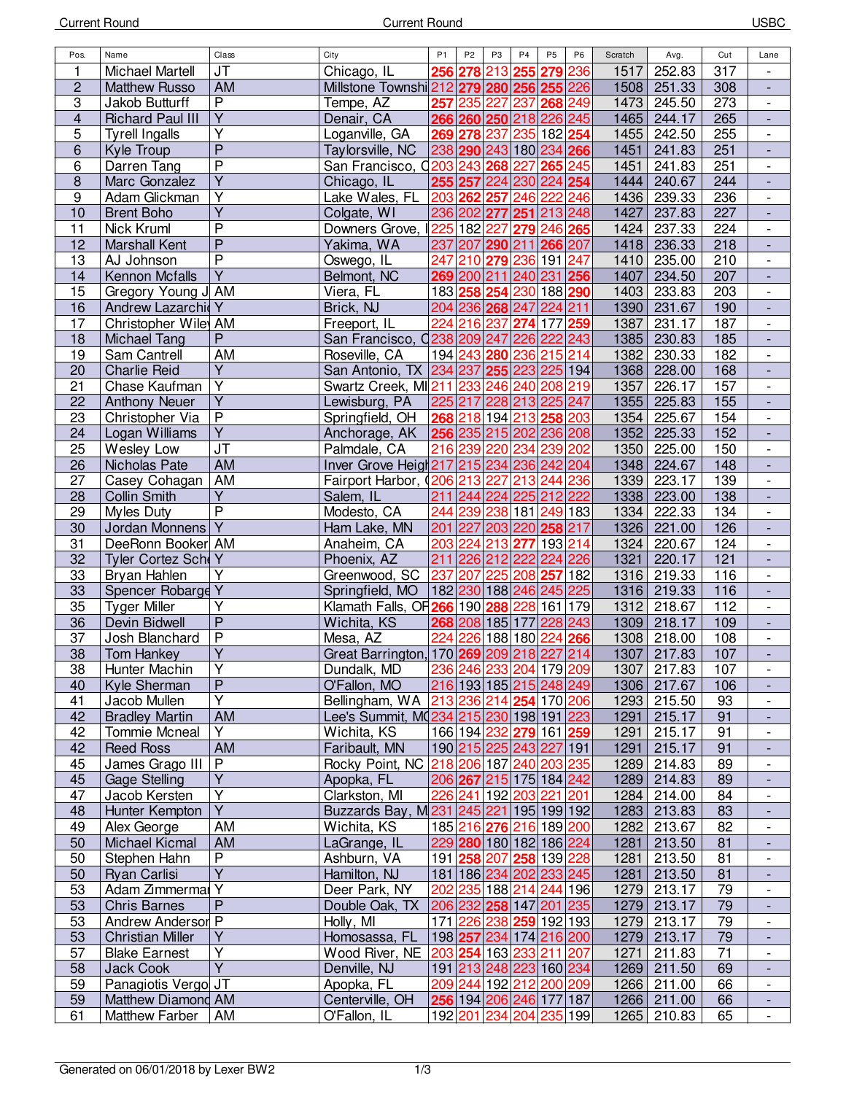| Pos.            | Name                    | Class                   | City                                      | <b>P1</b>               | P <sub>2</sub> | P <sub>3</sub>          | P <sub>4</sub> | P <sub>5</sub> | P <sub>6</sub> | Scratch | Avg.        | Cut | Lane                     |
|-----------------|-------------------------|-------------------------|-------------------------------------------|-------------------------|----------------|-------------------------|----------------|----------------|----------------|---------|-------------|-----|--------------------------|
| 1               | Michael Martell         | <b>JT</b>               | Chicago, IL                               |                         |                | 256 278 213 255 279 236 |                |                |                | 1517    | 252.83      | 317 |                          |
| $\mathbf 2$     | <b>Matthew Russo</b>    | AM                      | Millstone Townshi 212 279 280 256 255 226 |                         |                |                         |                |                |                | 1508    | 251.33      | 308 | $\frac{1}{2}$            |
| 3               | Jakob Butturff          | $\overline{P}$          | Tempe, AZ                                 |                         |                | 257 235 227 237 268 249 |                |                |                | 1473    | 245.50      | 273 | $\overline{\phantom{a}}$ |
| 4               | <b>Richard Paul III</b> | $\overline{Y}$          | Denair, CA                                |                         |                | 266 260 250 218 226 245 |                |                |                | 1465    | 244.17      | 265 |                          |
| 5               | <b>Tyrell Ingalls</b>   | Υ                       | oganville, GA                             |                         |                | 269 278 237 235 182 254 |                |                |                | 1455    | 242.50      | 255 |                          |
| $\,6\,$         | Kyle Troup              | $\overline{P}$          | Taylorsville, NC                          | 238 290 243 180 234 266 |                |                         |                |                |                | 1451    | 241.83      | 251 |                          |
|                 |                         | $\overline{P}$          |                                           |                         |                |                         |                |                |                |         |             |     |                          |
| 6               | Darren Tang             | $\overline{Y}$          | San Francisco, 0203 243 268 227           |                         |                |                         |                | 265 245        |                | 1451    | 241.83      | 251 | $\overline{\phantom{a}}$ |
| $\bf 8$         | Marc Gonzalez           |                         | Chicago, IL                               |                         |                | 255 257 224 230 224 254 |                |                |                | 1444    | 240.67      | 244 |                          |
| 9               | Adam Glickman           | Y                       | Lake Wales, FL 203 262 257 246 222 246    |                         |                |                         |                |                |                | 1436    | 239.33      | 236 |                          |
| 10              | <b>Brent Boho</b>       | $\overline{Y}$          | Colgate, WI                               |                         |                | 236 202 277 251 213 248 |                |                |                | 1427    | 237.83      | 227 |                          |
| 11              | Nick Kruml              | $\overline{P}$          | Downers Grove, I                          |                         |                | 225 182 227 279 246 265 |                |                |                | 1424    | 237.33      | 224 | $\blacksquare$           |
| 12              | <b>Marshall Kent</b>    | $\overline{P}$          | Yakima, WA                                |                         |                | 237 207 290 211 266 207 |                |                |                | 1418    | 236.33      | 218 | $\blacksquare$           |
| 13              | AJ Johnson              | $\overline{P}$          | Oswego, IL                                |                         |                | 247 210 279 236 191 247 |                |                |                | 1410    | 235.00      | 210 | $\overline{\phantom{a}}$ |
| 14              | Kennon Mcfalls          | $\overline{Y}$          | Belmont, NC                               |                         |                | 269 200 211 240 231 256 |                |                |                | 1407    | 234.50      | 207 |                          |
| 15              | Gregory Young J AM      |                         | Viera, FL                                 |                         |                | 183 258 254 230 188 290 |                |                |                | 1403    | 233.83      | 203 |                          |
| 16              | Andrew Lazarchid Y      |                         | Brick, NJ                                 |                         |                | 204 236 268 247 224 211 |                |                |                |         | 1390 231.67 | 190 |                          |
| 17              | Christopher Wile AM     |                         | Freeport, IL                              |                         |                | 224 216 237 274 177 259 |                |                |                | 1387    | 231.17      | 187 | $\overline{\phantom{a}}$ |
| 18              | <b>Michael Tang</b>     | P                       | San Francisco, 0238 209 247 226 222 243   |                         |                |                         |                |                |                | 1385    | 230.83      | 185 | $\overline{\phantom{a}}$ |
|                 |                         | AM                      |                                           |                         |                |                         |                |                |                |         |             |     |                          |
| 19              | Sam Cantrell            | $\overline{Y}$          | Roseville, CA                             |                         |                | 194 243 280 236 215 214 |                |                |                | 1382    | 230.33      | 182 |                          |
| 20              | <b>Charlie Reid</b>     |                         | San Antonio, TX 234 237 255 223 225 194   |                         |                |                         |                |                |                |         | 1368 228.00 | 168 |                          |
| 21              | Chase Kaufman           | $\overline{Y}$          | Swartz Creek, MI211 233 246 240 208 219   |                         |                |                         |                |                |                | 1357    | 226.17      | 157 | $\blacksquare$           |
| 22              | <b>Anthony Neuer</b>    | $\overline{Y}$          | Lewisburg, PA                             | 225 217 228 213 225 247 |                |                         |                |                |                | 1355    | 225.83      | 155 | $\blacksquare$           |
| 23              | Christopher Via         | P                       | Springfield, OH   268 218 194 213 258 203 |                         |                |                         |                |                |                | 1354    | 225.67      | 154 | $\overline{\phantom{a}}$ |
| 24              | Logan Williams          | $\overline{Y}$          | Anchorage, AK 256 235 215 202 236 208     |                         |                |                         |                |                |                | 1352    | 225.33      | 152 | $\overline{\phantom{a}}$ |
| 25              | Wesley Low              | JT                      | Palmdale, CA                              |                         |                | 216 239 220 234 239 202 |                |                |                | 1350    | 225.00      | 150 | $\overline{\phantom{a}}$ |
| 26              | Nicholas Pate           | AM                      | Inver Grove Heigt 217 215 234 236 242 204 |                         |                |                         |                |                |                | 1348    | 224.67      | 148 |                          |
| 27              | Casey Cohagan           | AM                      | Fairport Harbor, (206 213 227 213 244 236 |                         |                |                         |                |                |                | 1339    | 223.17      | 139 | $\overline{\phantom{a}}$ |
| 28              | Collin Smith            | Ÿ                       | Salem, IL                                 |                         |                | 211 244 224 225 212 222 |                |                |                | 1338    | 223.00      | 138 |                          |
| 29              | Myles Duty              | $\overline{P}$          | Modesto, CA                               |                         |                | 244 239 238 181 249 183 |                |                |                | 1334    | 222.33      | 134 |                          |
| 30              | Jordan Monnens          | $\overline{Y}$          | Ham Lake, MN                              |                         |                | 201 227 203 220 258 217 |                |                |                | 1326    | 221.00      | 126 | $\Box$                   |
| 31              |                         |                         |                                           |                         |                | 203 224 213 277 193 214 |                |                |                |         |             |     |                          |
|                 | DeeRonn Booker AM       |                         | Anaheim, CA                               |                         |                |                         |                |                |                | 1324    | 220.67      | 124 | $\overline{\phantom{a}}$ |
| 32              | Tyler Cortez ScheY      |                         | Phoenix, AZ                               |                         |                | 211 226 212 222 224 226 |                |                |                | 1321    | 220.17      | 121 | $\overline{\phantom{a}}$ |
| 33              | Bryan Hahlen            | Υ                       | Greenwood, SC 237 207 225 208 257 182     |                         |                |                         |                |                |                | 1316    | 219.33      | 116 | $\overline{\phantom{a}}$ |
| 33              | Spencer Robarge Y       |                         | Springfield, MO                           |                         |                | 182 230 188 246 245 225 |                |                |                |         | 1316 219.33 | 116 | $\overline{\phantom{a}}$ |
| 35              | <b>Tyger Miller</b>     | Υ                       | Klamath Falls, OF 266 190 288 228 161 179 |                         |                |                         |                |                |                | 1312    | 218.67      | 112 | $\overline{\phantom{a}}$ |
| 36              | Devin Bidwell           | $\overline{P}$          | Wichita, KS                               |                         |                | 268 208 185 177 228 243 |                |                |                |         | 1309 218.17 | 109 |                          |
| 37              | Josh Blanchard          | $\overline{P}$          | Mesa, AZ                                  |                         |                | 224 226 188 180 224 266 |                |                |                | 1308    | 218.00      | 108 | $\overline{\phantom{a}}$ |
| 38              | <b>Tom Hankey</b>       | $\overline{Y}$          | Great Barrington, 170 269 209 218 227 214 |                         |                |                         |                |                |                |         | 1307 217.83 | 107 |                          |
| $\overline{38}$ | Hunter Machin           | $\overline{Y}$          | Dundalk, MD   236 246 233 204 179 209     |                         |                |                         |                |                |                |         | 1307 217.83 | 107 |                          |
| 40              | Kyle Sherman            | P                       | O'Fallon, MO                              |                         |                | 216 193 185 215 248 249 |                |                |                |         | 1306 217.67 | 106 |                          |
| 41              | Jacob Mullen            | Y                       | Bellingham, WA                            |                         |                | 213 236 214 254 170 206 |                |                |                | 1293    | 215.50      | 93  | $\overline{\phantom{a}}$ |
| 42              | <b>Bradley Martin</b>   | AM                      | Lee's Summit, MQ234 215 230 198 191 223   |                         |                |                         |                |                |                | 1291    | 215.17      | 91  | $\overline{\phantom{a}}$ |
| 42              | <b>Tommie Mcneal</b>    | Y                       | Wichita, KS                               |                         |                | 166 194 232 279 161 259 |                |                |                | 1291    | 215.17      | 91  | $\overline{\phantom{a}}$ |
|                 |                         |                         |                                           |                         |                |                         |                |                |                |         |             |     |                          |
| 42              | <b>Reed Ross</b>        | AM                      | Faribault, MN                             |                         |                | 190 215 225 243 227 191 |                |                |                | 1291    | 215.17      | 91  | $\overline{\phantom{a}}$ |
| 45              | James Grago III         | P                       | Rocky Point, NC                           |                         |                | 218 206 187 240 203 235 |                |                |                | 1289    | 214.83      | 89  | $\overline{\phantom{a}}$ |
| 45              | <b>Gage Stelling</b>    | $\overline{Y}$          | Apopka, FL                                |                         |                | 206 267 215 175 184 242 |                |                |                | 1289    | 214.83      | 89  |                          |
| 47              | Jacob Kersten           | $\overline{\mathsf{Y}}$ | Clarkston, MI                             |                         |                | 226 241 192 203 221 201 |                |                |                | 1284    | 214.00      | 84  | $\overline{\phantom{a}}$ |
| 48              | Hunter Kempton          | $\overline{\mathsf{Y}}$ | Buzzards Bay, M231 245 221 195 199 192    |                         |                |                         |                |                |                | 1283    | 213.83      | 83  |                          |
| 49              | Alex George             | AM                      | Wichita, KS                               |                         |                | 185 216 276 216 189 200 |                |                |                | 1282    | 213.67      | 82  |                          |
| 50              | <b>Michael Kicmal</b>   | AM                      | LaGrange, IL                              |                         |                | 229 280 180 182 186 224 |                |                |                | 1281    | 213.50      | 81  | $\overline{\phantom{a}}$ |
| 50              | Stephen Hahn            | P                       | Ashburn, VA                               |                         |                | 191 258 207 258 139 228 |                |                |                | 1281    | 213.50      | 81  | $\overline{\phantom{a}}$ |
| 50              | Ryan Carlisi            | $\overline{Y}$          | Hamilton, NJ                              |                         |                | 181 186 234 202 233 245 |                |                |                | 1281    | 213.50      | 81  | $\overline{\phantom{a}}$ |
| 53              | Adam Zimmermar          | Υ                       | Deer Park, NY                             |                         |                | 202 235 188 214 244 196 |                |                |                | 1279    | 213.17      | 79  | $\overline{\phantom{a}}$ |
| 53              | <b>Chris Barnes</b>     | P                       | Double Oak, TX                            |                         |                | 206 232 258 147 201 235 |                |                |                | 1279    | 213.17      | 79  | $\overline{\phantom{a}}$ |
| 53              | Andrew Andersor P       |                         | Holly, MI                                 |                         |                | 171 226 238 259 192 193 |                |                |                | 1279    | 213.17      | 79  | $\overline{\phantom{a}}$ |
|                 |                         | Y                       |                                           |                         |                |                         |                |                |                |         |             |     |                          |
| 53              | <b>Christian Miller</b> |                         | Homosassa, FL                             |                         |                | 198 257 234 174 216 200 |                |                |                | 1279    | 213.17      | 79  |                          |
| 57              | <b>Blake Earnest</b>    | $\overline{\mathsf{Y}}$ | Wood River, NE                            |                         |                | 203 254 163 233 211 207 |                |                |                | 1271    | 211.83      | 71  | $\overline{\phantom{a}}$ |
| 58              | Jack Cook               | $\overline{\mathsf{Y}}$ | Denville, NJ                              |                         |                | 191 213 248 223 160 234 |                |                |                | 1269    | 211.50      | 69  |                          |
| 59              | Panagiotis Vergo JT     |                         | Apopka, FL                                |                         |                | 209 244 192 212 200 209 |                |                |                | 1266    | 211.00      | 66  |                          |
| 59              | Matthew Diamond AM      |                         | Centerville, OH                           |                         |                | 256 194 206 246 177 187 |                |                |                |         | 1266 211.00 | 66  | $\overline{\phantom{a}}$ |
| 61              | <b>Matthew Farber</b>   | AM                      | O'Fallon, IL                              |                         |                | 192 201 234 204 235 199 |                |                |                | 1265    | 210.83      | 65  | $\overline{\phantom{a}}$ |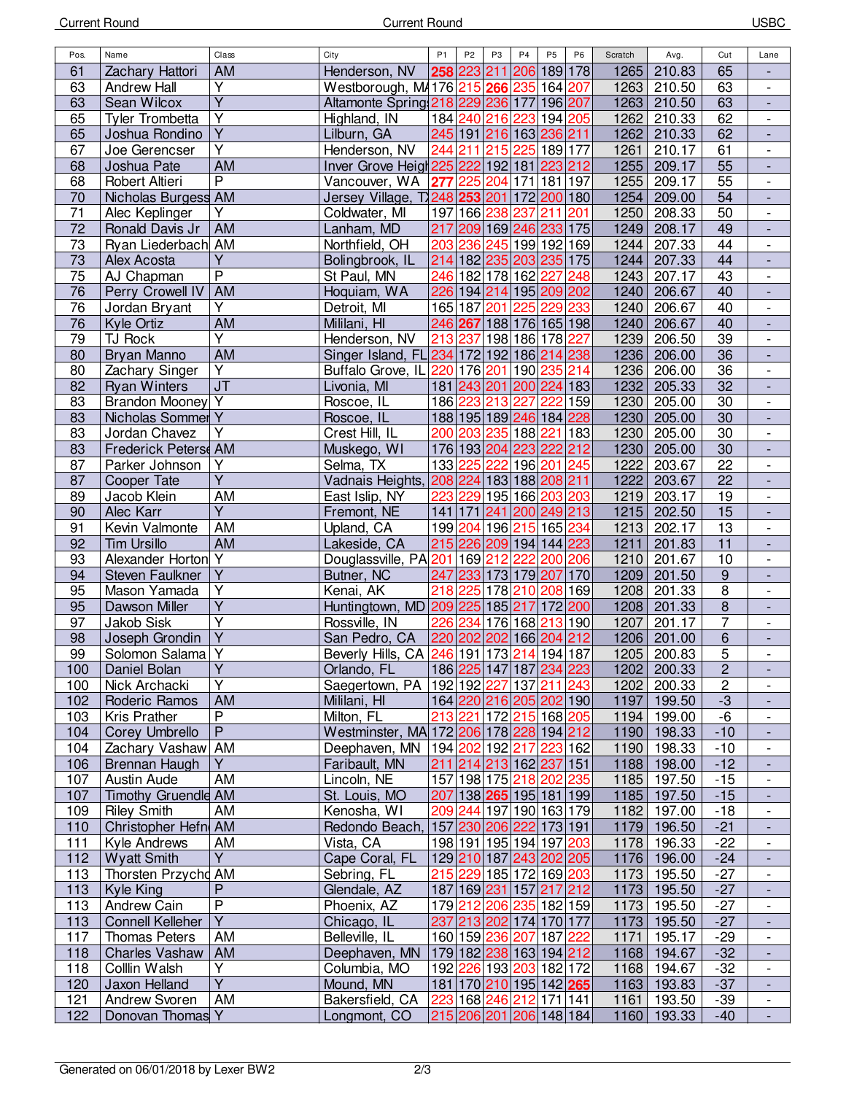| Pos.            | Name                               | Class                   | City                                      | P1      | P <sub>2</sub> | P <sub>3</sub> | P4                             | P <sub>5</sub> | P <sub>6</sub> | Scratch | Avg.                  | Cut              | Lane                         |
|-----------------|------------------------------------|-------------------------|-------------------------------------------|---------|----------------|----------------|--------------------------------|----------------|----------------|---------|-----------------------|------------------|------------------------------|
| 61              | Zachary Hattori                    | <b>AM</b>               | Henderson, NV                             |         |                |                | 258 223 211 206 189 178        |                |                | 1265    | 210.83                | 65               |                              |
| 63              | <b>Andrew Hall</b>                 | $\overline{Y}$          | Westborough, M4176 215 266 235 164 207    |         |                |                |                                |                |                | 1263    | 210.50                | 63               | $\overline{\phantom{a}}$     |
| 63              | Sean Wilcox                        | $\overline{Y}$          | Altamonte Spring 218 229 236 177 196 207  |         |                |                |                                |                |                | 1263    | 210.50                | 63               | $\overline{\phantom{a}}$     |
| 65              | <b>Tyler Trombetta</b>             | $\overline{Y}$          | Highland, IN                              |         |                |                | 184 240 216 223 194 205        |                |                | 1262    | 210.33                | 62               | $\blacksquare$               |
| 65              | Joshua Rondino                     | $\overline{Y}$          | Lilburn, GA                               |         |                |                | 245 191 216 163 236 211        |                |                | 1262    | 210.33                | 62               |                              |
| 67              | Joe Gerencser                      | Υ                       | Henderson, NV                             |         |                |                | 244 211 215 225 189 177        |                |                | 1261    | 210.17                | 61               |                              |
| 68              | Joshua Pate                        | AM                      | Inver Grove Heigt 225 222 192 181 223 212 |         |                |                |                                |                |                | 1255    | 209.17                | 55               |                              |
| 68              | Robert Altieri                     | $\overline{P}$          | Vancouver, WA                             |         |                |                | <b>277</b> 225 204 171 181 197 |                |                | 1255    | 209.17                | $\overline{55}$  | $\overline{\phantom{a}}$     |
| $\overline{70}$ | Nicholas Burgess AM                |                         | Jersey Village, T248 253 201 172 200 180  |         |                |                |                                |                |                | 1254    | 209.00                | 54               | $\blacksquare$               |
| 71              | Alec Keplinger                     | Y                       | Coldwater, MI                             |         |                |                | 197 166 238 237 211 201        |                |                | 1250    | 208.33                | 50               | $\blacksquare$               |
| 72              | Ronald Davis Jr                    | AM                      | Lanham, MD                                |         |                |                | 217 209 169 246 233 175        |                |                | 1249    | 208.17                | 49               | $\frac{1}{2}$                |
| 73              | Ryan Liederbach AM                 |                         | Northfield, OH                            |         |                |                | 203 236 245 199 192 169        |                |                | 1244    | 207.33                | 44               | $\overline{\phantom{a}}$     |
| 73              | Alex Acosta                        | Y                       | Bolingbrook, IL                           |         |                |                | 214 182 235 203 235 175        |                |                | 1244    | 207.33                | 44               | $\frac{1}{2}$                |
| $\overline{75}$ | AJ Chapman                         | $\overline{\mathsf{P}}$ | St Paul, MN                               |         |                |                | 246 182 178 162 227            |                | 248            | 1243    | 207.17                | 43               | $\blacksquare$               |
| 76              |                                    | AM                      |                                           |         |                |                | 226 194 214 195 209 202        |                |                | 1240    | 206.67                | 40               |                              |
|                 | Perry Crowell IV                   |                         | Hoquiam, WA                               |         |                |                |                                |                |                |         |                       |                  | $\overline{\phantom{a}}$     |
| 76              | Jordan Bryant                      | Y                       | Detroit, MI                               |         |                |                | 165 187 201 225 229 233        |                |                | 1240    | 206.67                | 40               |                              |
| 76              | Kyle Ortiz                         | AM                      | Mililani, HI                              |         |                |                | 246 267 188 176 165 198        |                |                | 1240    | 206.67                | 40               |                              |
| 79              | TJ Rock                            | $\overline{Y}$          | Henderson, NV                             |         |                |                | 213 237 198 186 178 227        |                |                | 1239    | 206.50                | 39               |                              |
| 80              | Bryan Manno                        | <b>AM</b>               | Singer Island, FL 234 172 192 186 214 238 |         |                |                |                                |                |                | 1236    | 206.00                | $\overline{36}$  | $\overline{\phantom{a}}$     |
| 80              | Zachary Singer                     | $\overline{Y}$          | Buffalo Grove, IL 220 176 201 190 235 214 |         |                |                |                                |                |                | 1236    | 206.00                | 36               | $\blacksquare$               |
| 82              | <b>Ryan Winters</b>                | J <sub>T</sub>          | Livonia, MI                               |         |                |                | 181 243 201 200 224 183        |                |                | 1232    | 205.33                | 32               |                              |
| 83              | Brandon Mooney Y                   |                         | Roscoe, IL                                |         |                |                | 186 223 213 227 222 159        |                |                | 1230    | 205.00                | 30               | $\overline{\phantom{a}}$     |
| 83              | Nicholas Sommer Y                  |                         | Roscoe, IL                                |         |                |                | 188 195 189 246 184 228        |                |                | 1230    | 205.00                | 30               |                              |
| 83              | Jordan Chavez                      | $\overline{Y}$          | Crest Hill, IL                            |         |                |                | 200 203 235 188 221 183        |                |                | 1230    | 205.00                | 30               | $\overline{\phantom{a}}$     |
| 83              | Frederick Peters AM                |                         | Muskego, WI                               |         |                |                | 176 193 204 223 222 212        |                |                | 1230    | 205.00                | 30               |                              |
| 87              | Parker Johnson                     | Υ                       | Selma, TX                                 |         |                |                | 133 225 222 196 201 245        |                |                | 1222    | 203.67                | 22               |                              |
| 87              | Cooper Tate                        | $\overline{\mathsf{Y}}$ | Vadnais Heights, 208 224 183 188 208 211  |         |                |                |                                |                |                | 1222    | 203.67                | 22               |                              |
| 89              | Jacob Klein                        | AM                      | East Islip, NY                            |         |                |                | 223 229 195 166 203 203        |                |                | 1219    | 203.17                | 19               | $\overline{\phantom{a}}$     |
| 90              | Alec Karr                          | $\overline{Y}$          | Fremont, NE                               |         |                |                | 141 171 241 200 249 213        |                |                | 1215    | 202.50                | $\overline{15}$  | $\overline{\phantom{a}}$     |
| 91              | Kevin Valmonte                     | AM                      | Upland, CA                                |         |                |                | 199 204 196 215 165 234        |                |                | 1213    | 202.17                | 13               | $\blacksquare$               |
| 92              | <b>Tim Ursillo</b>                 | AM                      | Lakeside, CA                              |         |                |                | 215 226 209 194 144 223        |                |                | 1211    | 201.83                | 11               | $\frac{1}{2}$                |
| 93              | Alexander Horton Y                 |                         | Douglassville, PA 201 169 212 222 200 206 |         |                |                |                                |                |                | 1210    | 201.67                | 10               | $\blacksquare$               |
| 94              | <b>Steven Faulkner</b>             | $\overline{Y}$          | Butner, NC                                |         |                |                | 247 233 173 179 207 170        |                |                | 1209    | 201.50                | $\boldsymbol{9}$ |                              |
| 95              | Mason Yamada                       | $\overline{Y}$          | Kenai, AK                                 | 218 225 |                |                | 178 210 208 169                |                |                | 1208    | 201.33                | 8                | $\overline{\phantom{a}}$     |
| 95              | Dawson Miller                      | Υ                       | Huntingtown, MD 209 225 185 217 172 200   |         |                |                |                                |                |                | 1208    | 201.33                | $\bf 8$          | $\overline{\phantom{a}}$     |
| 97              | Jakob Sisk                         | Υ                       | Rossville, IN                             |         |                |                | 226 234 176 168 213 190        |                |                | 1207    | 201.17                | 7                | $\overline{\phantom{a}}$     |
| 98              | Joseph Grondin                     | $\overline{\mathsf{Y}}$ | San Pedro, CA                             |         |                |                | 220 202 202 166 204 212        |                |                | 1206    | 201.00                | 6                |                              |
| 99              | Solomon Salama Y                   |                         | Beverly Hills, CA 246 191 173 214 194 187 |         |                |                |                                |                |                | 1205    | 200.83                | 5                |                              |
| 100             | Daniel Bolan                       | $\overline{Y}$          | Orlando, FL                               |         |                |                | 186 225 147 187 234 223        |                |                |         | 1202 200.33           | $\overline{2}$   |                              |
| 100             | Nick Archacki                      | Ÿ                       | Saegertown, PA                            |         |                |                | 192 192 227 137 211 243        |                |                | 1202    | 200.33                | 2                |                              |
| 102             | Roderic Ramos                      | <b>AM</b>               | Mililani, HI                              |         |                |                | 164 220 216 205 202 190        |                |                | 1197    | 199.50                | $-3$             |                              |
| 103             | Kris Prather                       | $\overline{P}$          | Milton, FL                                |         |                |                | 213 221 172 215 168 205        |                |                | 1194    | 199.00                | -6               |                              |
| 104             | Corey Umbrello                     | $\overline{P}$          | Westminster, MA 172 206 178 228 194 212   |         |                |                |                                |                |                | 1190    | 198.33                | $-10$            |                              |
| 104             | Zachary Vashaw AM                  |                         | Deephaven, MN                             |         |                |                | 194 202 192 217 223 162        |                |                | 1190    | 198.33                | $-10$            | $\overline{\phantom{a}}$     |
| 106             | Brennan Haugh                      | Y                       | Faribault, MN                             |         |                |                | 211 214 213 162 237 151        |                |                |         | 1188 198.00           | $-12$            |                              |
|                 |                                    |                         |                                           |         |                |                | 157 198 175 218 202 235        |                |                |         |                       |                  |                              |
| 107<br>107      | Austin Aude<br>Timothy Gruendle AM | AM                      | Lincoln, NE<br>St. Louis, MO              |         |                |                | 207 138 265 195 181 199        |                |                | 1185    | 1185 197.50<br>197.50 | $-15$<br>$-15$   | $\overline{\phantom{a}}$     |
|                 |                                    |                         |                                           |         |                |                |                                |                |                |         |                       |                  | $\overline{\phantom{a}}$     |
| 109             | <b>Riley Smith</b>                 | AM                      | Kenosha, WI                               |         |                |                | 209 244 197 190 163 179        |                |                | 1182    | 197.00                | $-18$            |                              |
| 110             | Christopher Hefn AM                |                         | Redondo Beach,                            |         |                |                | 157 230 206 222 173 191        |                |                |         | 1179 196.50           | $-21$            |                              |
| 111             | Kyle Andrews                       | AM                      | Vista, CA                                 |         |                |                | 198 191 195 194 197 203        |                |                | 1178    | 196.33                | $-22$            | $\overline{\phantom{a}}$     |
| 112             | <b>Wyatt Smith</b>                 | $\overline{Y}$          | Cape Coral, FL                            |         |                |                | 129 210 187 243 202 205        |                |                |         | 1176 196.00           | $-24$            |                              |
| 113             | Thorsten Przychd AM                |                         | Sebring, FL                               |         |                |                | 215 229 185 172 169 203        |                |                | 1173    | 195.50                | $-27$            |                              |
| 113             | Kyle King                          | $\mathsf{P}$            | Glendale, AZ                              |         |                |                | 187 169 231 157 217 212        |                |                | 1173    | 195.50                | $-27$            | $\overline{\phantom{a}}$     |
| 113             | Andrew Cain                        | $\overline{P}$          | Phoenix, AZ                               |         |                |                | 179 212 206 235 182 159        |                |                | 1173    | 195.50                | $-27$            | $\blacksquare$               |
| 113             | <b>Connell Kelleher</b>            | $\overline{Y}$          | Chicago, IL                               |         |                |                | 237 213 202 174 170 177        |                |                | 1173    | 195.50                | $-27$            | $\overline{\phantom{a}}$     |
| 117             | <b>Thomas Peters</b>               | AM                      | Belleville, IL                            |         |                |                | 160 159 236 207 187 222        |                |                | 1171    | 195.17                | $-29$            | $\qquad \qquad \blacksquare$ |
| 118             | <b>Charles Vashaw</b>              | AM                      | Deephaven, MN                             |         |                |                | 179 182 238 163 194 212        |                |                | 1168    | 194.67                | $-32$            |                              |
| 118             | Colllin Walsh                      | Υ                       | Columbia, MO                              |         |                |                | 192 226 193 203 182 172        |                |                | 1168    | 194.67                | $-32$            | $\overline{\phantom{a}}$     |
| 120             | Jaxon Helland                      | $\overline{Y}$          | Mound, MN                                 |         |                |                | 181 170 210 195 142 265        |                |                | 1163    | 193.83                | $-37$            |                              |
| 121             | Andrew Svoren                      | AM                      | Bakersfield, CA                           |         |                |                | 223 168 246 212 171 141        |                |                | 1161    | 193.50                | $-39$            | $\overline{\phantom{a}}$     |
| 122             | Donovan Thomas Y                   |                         | Longmont, CO                              |         |                |                | 215 206 201 206 148 184        |                |                | 1160    | 193.33                | $-40$            | $\Box$                       |